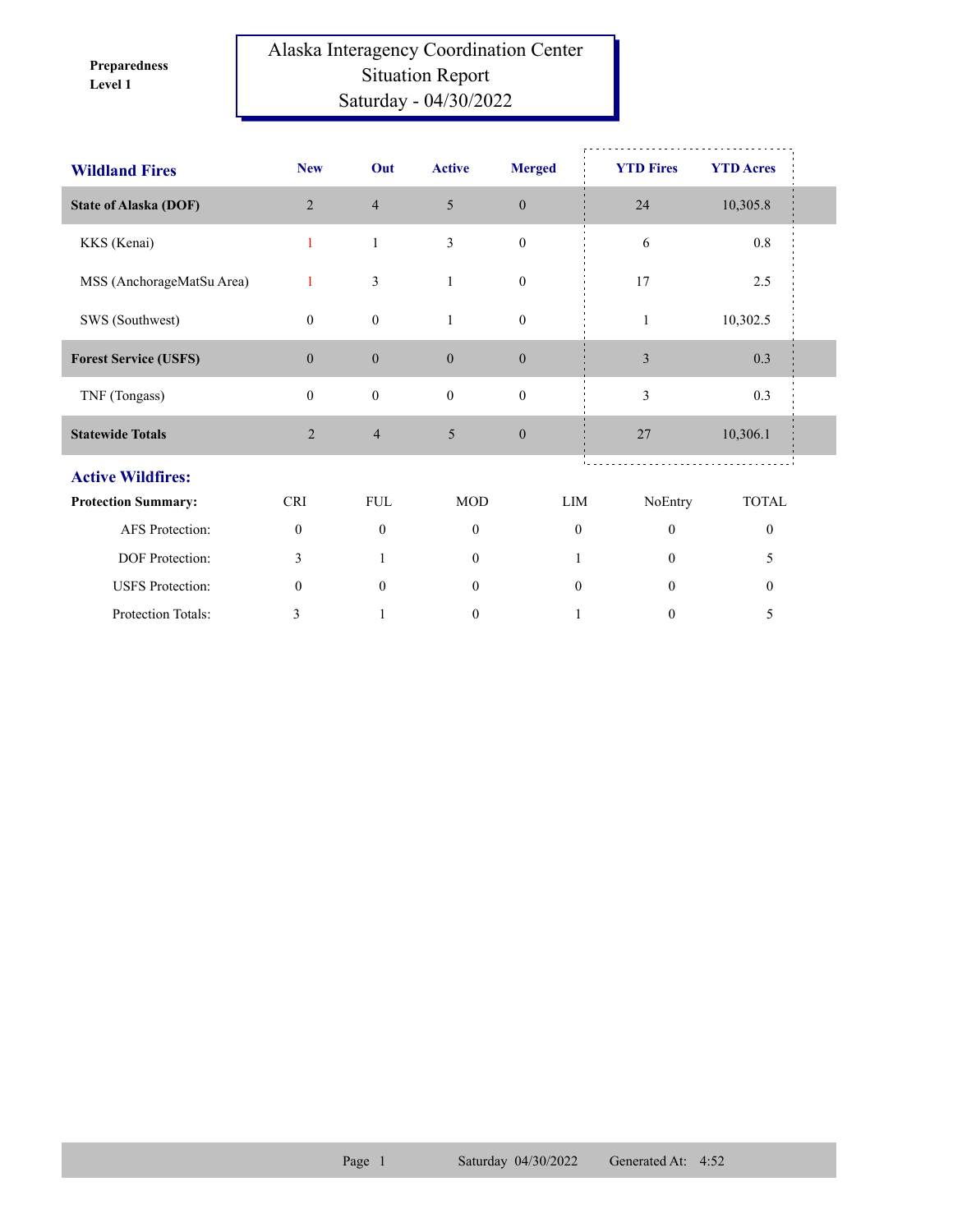**Level 1 Preparedness** 

## Alaska Interagency Coordination Center Situation Report Saturday - 04/30/2022

| <b>Wildland Fires</b>        | <b>New</b>     | Out              | <b>Active</b>    | <b>Merged</b>    | <b>YTD Fires</b>             | <b>YTD Acres</b> |  |
|------------------------------|----------------|------------------|------------------|------------------|------------------------------|------------------|--|
| <b>State of Alaska (DOF)</b> | $\overline{2}$ | $\overline{4}$   | 5                | $\boldsymbol{0}$ | 24                           | 10,305.8         |  |
| KKS (Kenai)                  | 1              | $\mathbf{1}$     | 3                | $\boldsymbol{0}$ | 6                            | $0.8\,$          |  |
| MSS (AnchorageMatSu Area)    | 1              | 3                | $\mathbf{1}$     | $\boldsymbol{0}$ | 17                           | 2.5              |  |
| SWS (Southwest)              | $\overline{0}$ | $\boldsymbol{0}$ | $\mathbf{1}$     | $\boldsymbol{0}$ | $\mathbf{1}$                 | 10,302.5         |  |
| <b>Forest Service (USFS)</b> | $\overline{0}$ | $\boldsymbol{0}$ | $\boldsymbol{0}$ | $\boldsymbol{0}$ | $\overline{\mathbf{3}}$      | 0.3              |  |
| TNF (Tongass)                | $\overline{0}$ | $\boldsymbol{0}$ | $\mathbf{0}$     | $\mathbf{0}$     | 3                            | 0.3              |  |
| <b>Statewide Totals</b>      | $\overline{2}$ | $\overline{4}$   | 5                | $\boldsymbol{0}$ | 27                           | 10,306.1         |  |
| <b>Active Wildfires:</b>     |                |                  |                  |                  |                              |                  |  |
| <b>Protection Summary:</b>   | <b>CRI</b>     | <b>FUL</b>       | <b>MOD</b>       | LIM              | NoEntry                      | <b>TOTAL</b>     |  |
| AFS Protection:              | $\mathbf{0}$   | $\mathbf{0}$     | $\mathbf{0}$     |                  | $\mathbf{0}$<br>$\mathbf{0}$ | $\boldsymbol{0}$ |  |
| DOF Protection:              | 3              | 1                | $\theta$         |                  | $\theta$                     | 5                |  |
| <b>USFS</b> Protection:      | $\theta$       | $\theta$         | $\overline{0}$   |                  | $\boldsymbol{0}$<br>$\Omega$ | $\boldsymbol{0}$ |  |
| Protection Totals:           | 3              | 1                | $\mathbf{0}$     |                  | $\boldsymbol{0}$             | 5                |  |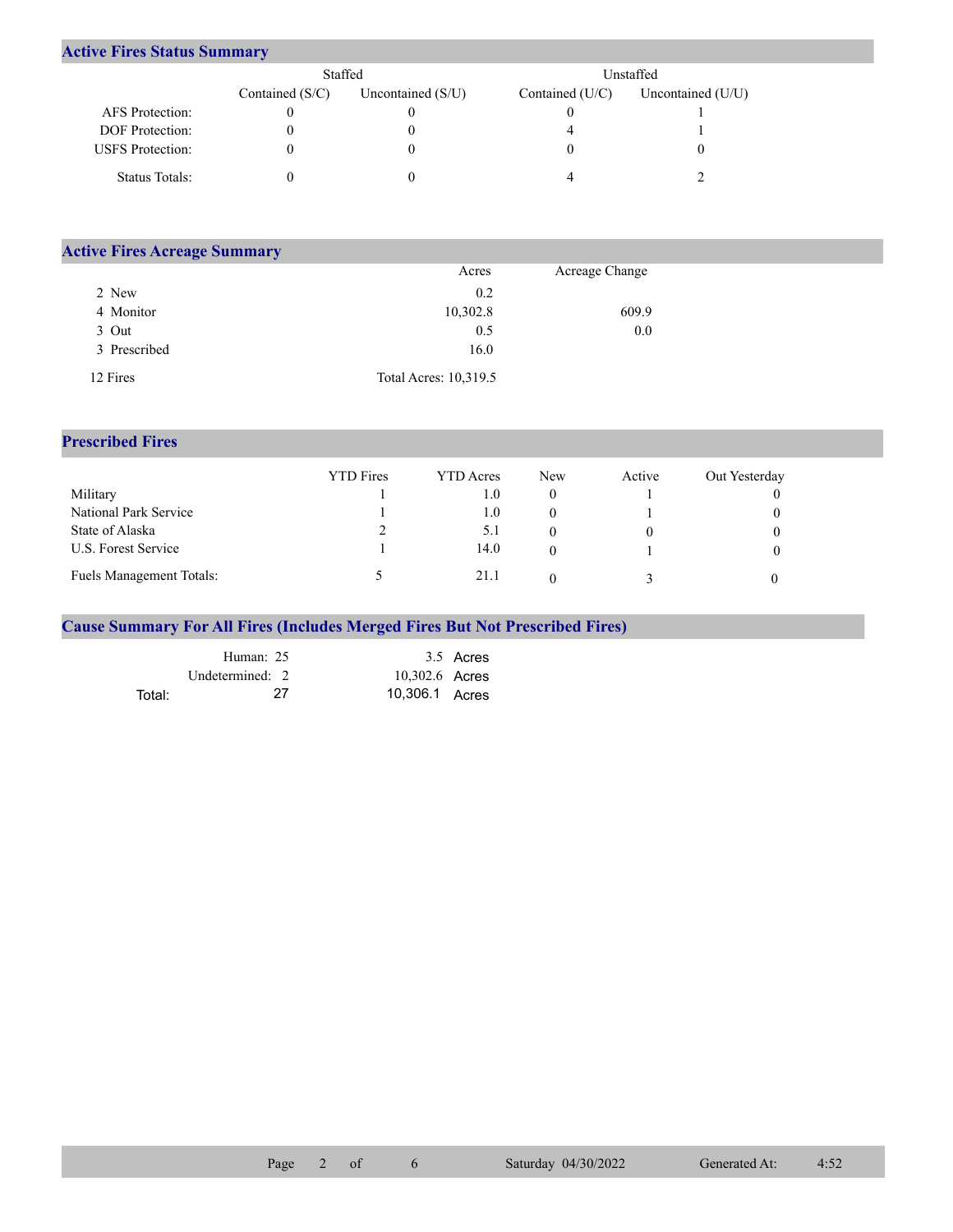## **Active Fires Status Summary**

|                         | Staffed           |                     |                   | Unstaffed           |
|-------------------------|-------------------|---------------------|-------------------|---------------------|
|                         | Contained $(S/C)$ | Uncontained $(S/U)$ | Contained $(U/C)$ | Uncontained $(U/U)$ |
| AFS Protection:         |                   |                     |                   |                     |
| <b>DOF</b> Protection:  |                   |                     |                   |                     |
| <b>USFS</b> Protection: |                   |                     |                   |                     |
| Status Totals:          |                   |                     |                   |                     |

| <b>Active Fires Acreage Summary</b> |                       |                |  |
|-------------------------------------|-----------------------|----------------|--|
|                                     | Acres                 | Acreage Change |  |
| 2 New                               | 0.2                   |                |  |
| 4 Monitor                           | 10,302.8              | 609.9          |  |
| 3 Out                               | 0.5                   | 0.0            |  |
| 3 Prescribed                        | 16.0                  |                |  |
| 12 Fires                            | Total Acres: 10,319.5 |                |  |

## **Prescribed Fires**

|                                 | <b>YTD</b> Fires | <b>YTD</b> Acres | <b>New</b> | Active | Out Yesterday |
|---------------------------------|------------------|------------------|------------|--------|---------------|
| Military                        |                  | 0.1              |            |        |               |
| National Park Service           |                  | $1.0\,$          |            |        |               |
| State of Alaska                 |                  | 5.1              |            |        |               |
| U.S. Forest Service             |                  | 14.0             |            |        |               |
| <b>Fuels Management Totals:</b> |                  | 21.1             |            |        |               |

## **Cause Summary For All Fires (Includes Merged Fires But Not Prescribed Fires)**

|        | Human: 25       |                | 3.5 Acres |
|--------|-----------------|----------------|-----------|
|        | Undetermined: 2 | 10,302.6 Acres |           |
| Total: | 27              | 10,306.1 Acres |           |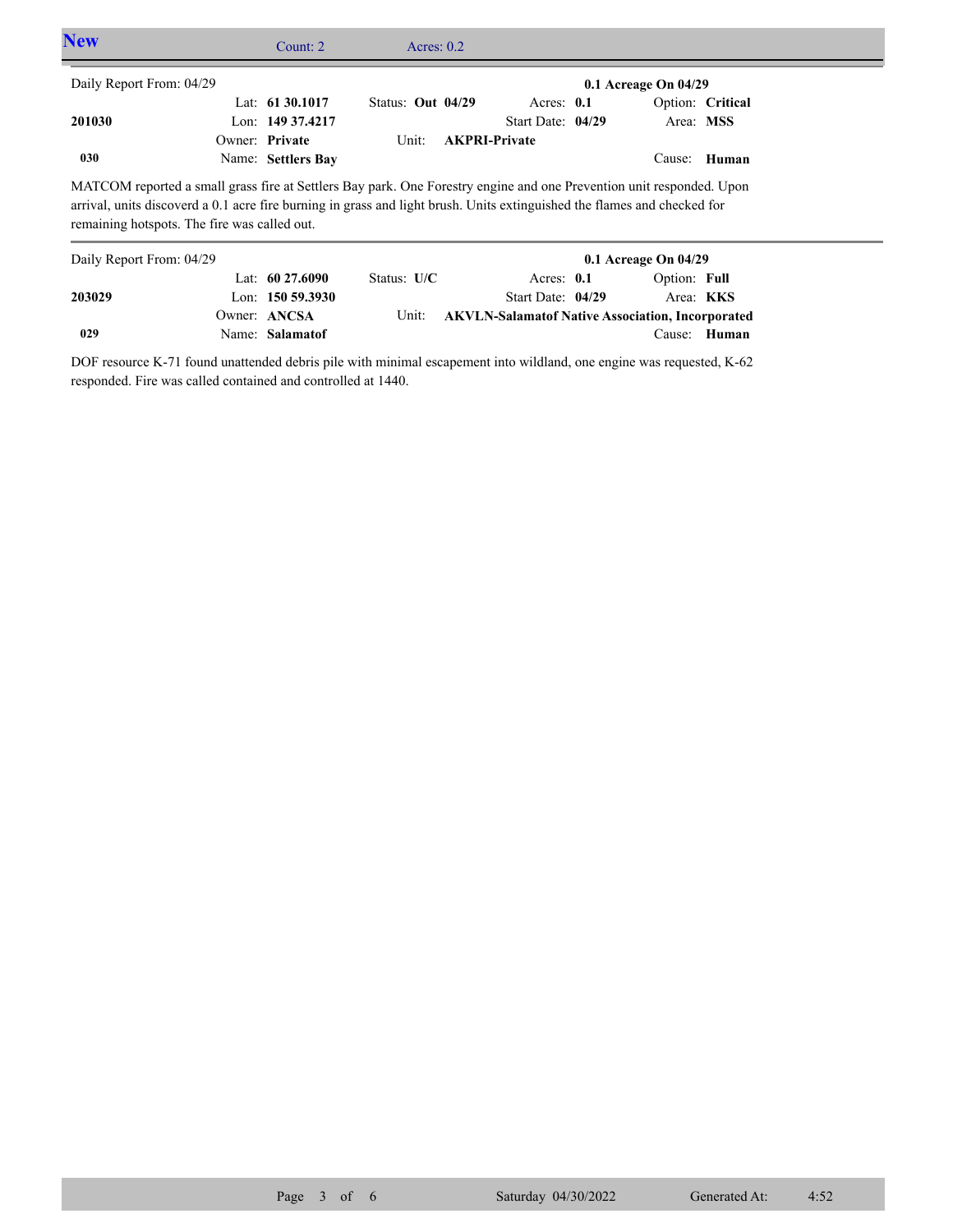| <b>New</b>               |                                                                                                                                                                                                                                                                                                  | Count: $2 \overline{ }$              | Acres: $0.2$               |                      |                                   |                          |                               |  |
|--------------------------|--------------------------------------------------------------------------------------------------------------------------------------------------------------------------------------------------------------------------------------------------------------------------------------------------|--------------------------------------|----------------------------|----------------------|-----------------------------------|--------------------------|-------------------------------|--|
| Daily Report From: 04/29 |                                                                                                                                                                                                                                                                                                  |                                      |                            |                      |                                   | $0.1$ Acreage On $04/29$ |                               |  |
| 201030                   | Owner: Private                                                                                                                                                                                                                                                                                   | Lat: $6130.1017$<br>Lon: 149 37.4217 | Status: Out 04/29<br>Unit: | <b>AKPRI-Private</b> | Acres: $0.1$<br>Start Date: 04/29 |                          | Option: Critical<br>Area: MSS |  |
| 030                      |                                                                                                                                                                                                                                                                                                  | Name: Settlers Bay                   |                            |                      |                                   |                          | Cause: Human                  |  |
|                          | MATCOM reported a small grass fire at Settlers Bay park. One Forestry engine and one Prevention unit responded. Upon<br>arrival, units discoverd a 0.1 acre fire burning in grass and light brush. Units extinguished the flames and checked for<br>remaining hotspots. The fire was called out. |                                      |                            |                      |                                   |                          |                               |  |
| Daily Report From: 04/29 |                                                                                                                                                                                                                                                                                                  |                                      |                            |                      |                                   | $0.1$ Acreage On $04/29$ |                               |  |

| Daily Report From: 04/29 |                    |               |                   | $0.1$ Acreage On $04/29$                                |
|--------------------------|--------------------|---------------|-------------------|---------------------------------------------------------|
|                          | Lat: $60\,27.6090$ | Status: $U/C$ | Acres: $0.1$      | Option: Full                                            |
| 203029                   | Lon: $150,59.3930$ |               | Start Date: 04/29 | Area: <b>KKS</b>                                        |
|                          | Owner: ANCSA       | Unit:         |                   | <b>AKVLN-Salamatof Native Association, Incorporated</b> |
| 029                      | Name: Salamatof    |               |                   | Cause: Human                                            |

DOF resource K-71 found unattended debris pile with minimal escapement into wildland, one engine was requested, K-62 responded. Fire was called contained and controlled at 1440.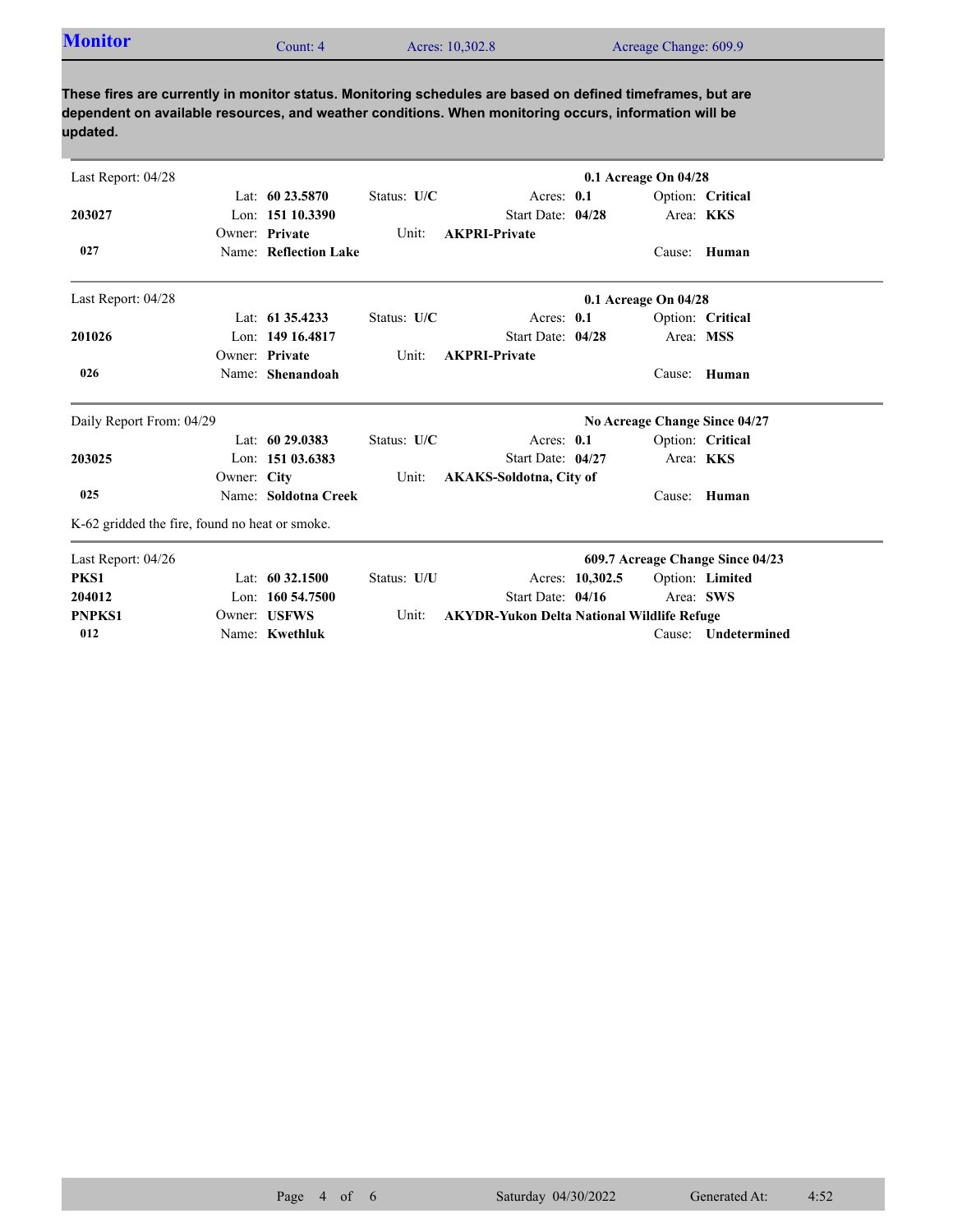| <b>Monitor</b> | Count: 4 | Acres: 10,302.8 | Acreage Change: 609.9 |  |
|----------------|----------|-----------------|-----------------------|--|

**These fires are currently in monitor status. Monitoring schedules are based on defined timeframes, but are dependent on available resources, and weather conditions. When monitoring occurs, information will be updated.**

Name: **Kwethluk**

Owner: USFWS

**012**

**PNPKS1**

| Last Report: 04/28                             |             |                       |             |                                |                 | $0.1$ Acreage On $04/28$ |                                  |
|------------------------------------------------|-------------|-----------------------|-------------|--------------------------------|-----------------|--------------------------|----------------------------------|
|                                                |             | Lat: 60 23.5870       | Status: U/C | Acres: $0.1$                   |                 |                          | Option: Critical                 |
| 203027                                         |             | Lon: $15110.3390$     |             | Start Date: 04/28              |                 |                          | Area: KKS                        |
|                                                |             | Owner: Private        | Unit:       | <b>AKPRI-Private</b>           |                 |                          |                                  |
| 027                                            |             | Name: Reflection Lake |             |                                |                 |                          | Cause: Human                     |
| Last Report: 04/28                             |             |                       |             |                                |                 | 0.1 Acreage On 04/28     |                                  |
|                                                |             | Lat: $61\,35.4233$    | Status: U/C | Acres: 0.1                     |                 |                          | Option: Critical                 |
| 201026                                         |             | Lon: 149 16.4817      |             | Start Date: 04/28              |                 | Area: MSS                |                                  |
|                                                |             | Owner: Private        | Unit:       | <b>AKPRI-Private</b>           |                 |                          |                                  |
| 026                                            |             | Name: Shenandoah      |             |                                |                 | Cause:                   | Human                            |
| Daily Report From: 04/29                       |             |                       |             |                                |                 |                          | No Acreage Change Since 04/27    |
|                                                |             | Lat: $6029.0383$      | Status: U/C | Acres: $0.1$                   |                 |                          | Option: Critical                 |
| 203025                                         |             | Lon: 151 03.6383      |             | Start Date: 04/27              |                 |                          | Area: KKS                        |
|                                                | Owner: City |                       | Unit:       | <b>AKAKS-Soldotna, City of</b> |                 |                          |                                  |
| 025                                            |             | Name: Soldotna Creek  |             |                                |                 | Cause:                   | Human                            |
| K-62 gridded the fire, found no heat or smoke. |             |                       |             |                                |                 |                          |                                  |
| Last Report: 04/26                             |             |                       |             |                                |                 |                          | 609.7 Acreage Change Since 04/23 |
| PKS1                                           |             | Lat: 60 32.1500       | Status: U/U |                                | Acres: 10,302.5 |                          | Option: Limited                  |
| 204012                                         |             | Lon: $160\,54.7500$   |             | Start Date: 04/16              |                 |                          | Area: SWS                        |

**Unit: AKYDR-Yukon Delta National Wildlife Refuge** 

Cause: **Undetermined**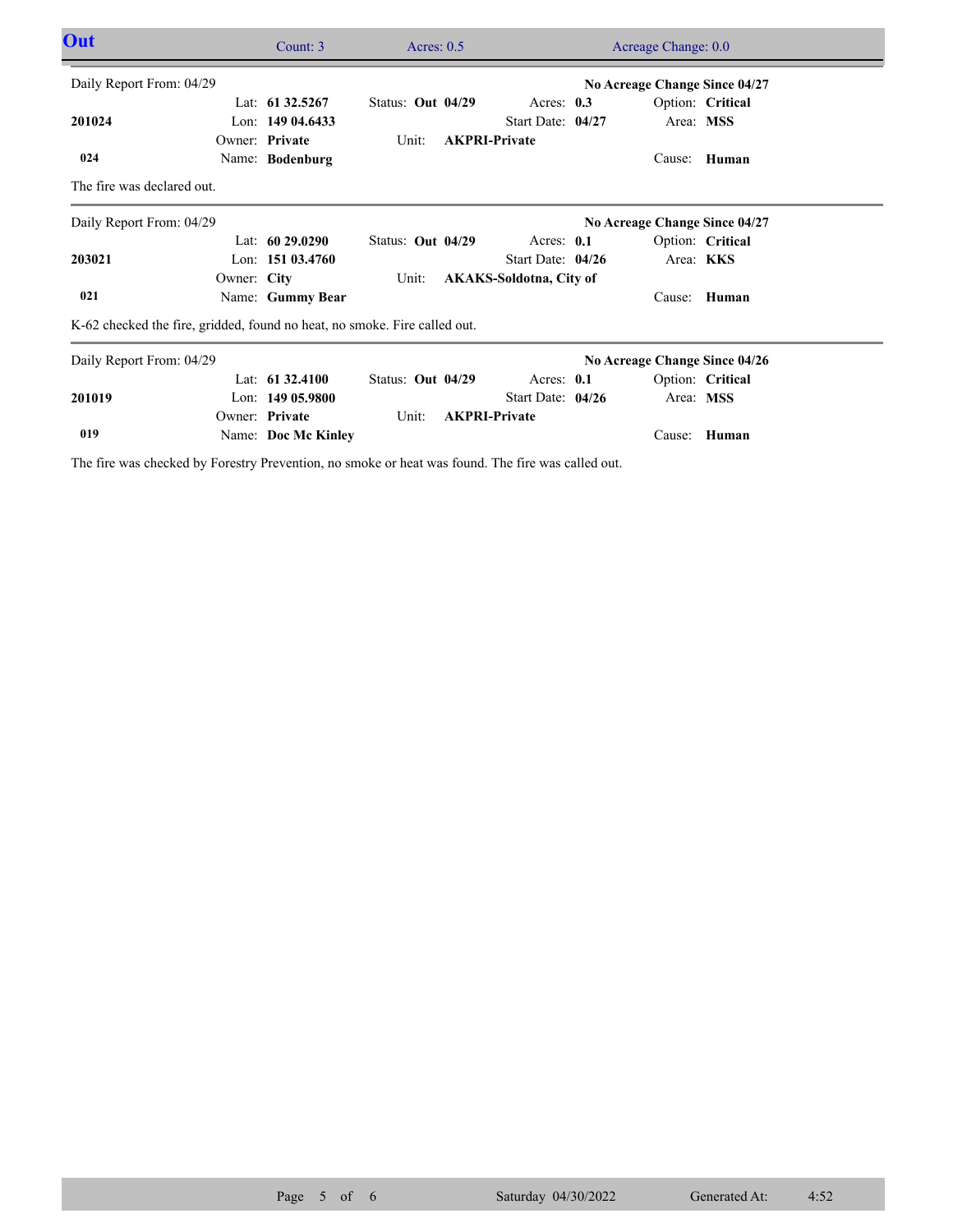| <b>Out</b>                 |                                                                           | Count: 3            | Acres: $0.5$      | Acreage Change: 0.0            |  |                               |                  |  |
|----------------------------|---------------------------------------------------------------------------|---------------------|-------------------|--------------------------------|--|-------------------------------|------------------|--|
| Daily Report From: 04/29   |                                                                           |                     |                   |                                |  | No Acreage Change Since 04/27 |                  |  |
|                            |                                                                           | Lat: $61\,32.5267$  | Status: Out 04/29 | Acres: $0.3$                   |  |                               | Option: Critical |  |
| 201024                     |                                                                           | Lon: $14904.6433$   |                   | Start Date: 04/27              |  |                               | Area: MSS        |  |
|                            |                                                                           | Owner: Private      | Unit:             | <b>AKPRI-Private</b>           |  |                               |                  |  |
| 024                        |                                                                           | Name: Bodenburg     |                   |                                |  |                               | Cause: Human     |  |
| The fire was declared out. |                                                                           |                     |                   |                                |  |                               |                  |  |
| Daily Report From: 04/29   |                                                                           |                     |                   |                                |  | No Acreage Change Since 04/27 |                  |  |
|                            |                                                                           | Lat: $6029.0290$    | Status: Out 04/29 | Acres: 0.1                     |  |                               | Option: Critical |  |
| 203021                     |                                                                           | Lon: $15103.4760$   |                   | Start Date: 04/26              |  |                               | Area: KKS        |  |
|                            | Owner: City                                                               |                     | Unit:             | <b>AKAKS-Soldotna, City of</b> |  |                               |                  |  |
| 021                        |                                                                           | Name: Gummy Bear    |                   |                                |  | Cause:                        | Human            |  |
|                            | K-62 checked the fire, gridded, found no heat, no smoke. Fire called out. |                     |                   |                                |  |                               |                  |  |
| Daily Report From: 04/29   |                                                                           |                     |                   |                                |  | No Acreage Change Since 04/26 |                  |  |
|                            |                                                                           | Lat: $61\,32.4100$  | Status: Out 04/29 | Acres: $0.1$                   |  |                               | Option: Critical |  |
| 201019                     |                                                                           | Lon: $14905.9800$   |                   | Start Date: $04/26$            |  | Area: MSS                     |                  |  |
|                            |                                                                           | Owner: Private      | Unit:             | <b>AKPRI-Private</b>           |  |                               |                  |  |
| 019                        |                                                                           | Name: Doc Mc Kinley |                   |                                |  | Cause:                        | Human            |  |

The fire was checked by Forestry Prevention, no smoke or heat was found. The fire was called out.